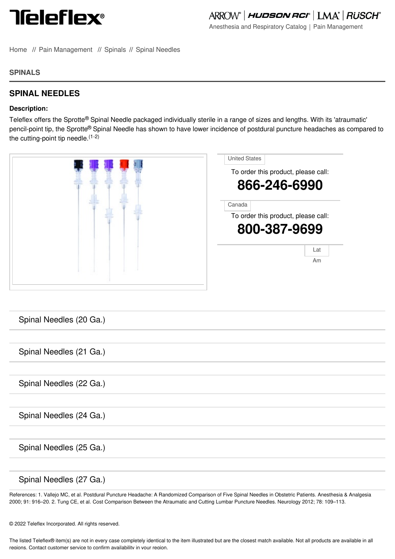

Anesthesia and Respiratory Catalog | Pain Management

[Home](file:///) // Pain [Management](file:///anesthesia-respiratory/pain/home) // [Spinals](file:///anesthesia-respiratory/pain/categories/spinals) // Spinal [Needles](file:///anesthesia-respiratory/pain/categories/spinal-needles)

## **SPINALS**

## **SPINAL NEEDLES**

## **Description:**

Teleflex offers the Sprotte® Spinal Needle packaged individually sterile in a range of sizes and lengths. With its 'atraumatic' pencil-point tip, the Sprotte® Spinal Needle has shown to have lower incidence of postdural puncture headaches as compared to the cutting-point tip needle.<sup>(1-2)</sup>

| <b>United States</b><br>To order this product, please call:<br>866-246-6990 |
|-----------------------------------------------------------------------------|
| Canada<br>To order this product, please call:<br>800-387-9699               |
| Lat<br>Am                                                                   |

| Spinal Needles (20 Ga.) |
|-------------------------|
|                         |
| Spinal Needles (21 Ga.) |
|                         |
| Spinal Needles (22 Ga.) |
|                         |
| Spinal Needles (24 Ga.) |
|                         |
| Spinal Needles (25 Ga.) |
|                         |
| Spinal Needles (27 Ga.) |

R[eferences:](file:///anesthesia-respiratory/pain/product/02115129a-spinal-needles) 1. Vallejo MC, et al. Postdural Puncture Headache: A Randomized Comparison of Five Spinal Needles in Obstetric Patients. Anesthesia & Analgesia 2000; 91: [916–](file:///anesthesia-respiratory/pain/product/03115130c-spinal-needles)20. 2. Tung CE, et al. Cost Comparison Between the Atraumatic and Cutting Lumbar Puncture Needles. Neurology 2012; 78: 109–113.

© 2022 Teleflex Incorporated. All rights reserved.

The listed Teleflex® item(s) are not in every case completely identical to the item illustrated but are the closest match available. Not all products are available in all regions. Contact customer service to confirm availability in your region.